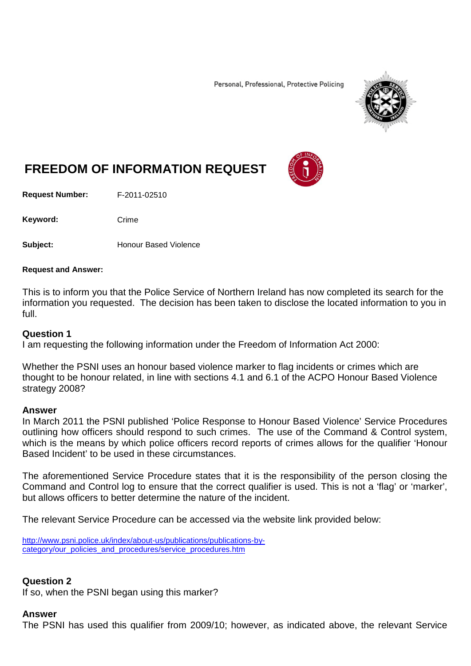Personal, Professional, Protective Policing



# **FREEDOM OF INFORMATION REQUEST**

**Request Number:** F-2011-02510

Keyword: Crime

**Subject:** Honour Based Violence

#### **Request and Answer:**

This is to inform you that the Police Service of Northern Ireland has now completed its search for the information you requested. The decision has been taken to disclose the located information to you in full.

#### **Question 1**

I am requesting the following information under the Freedom of Information Act 2000:

Whether the PSNI uses an honour based violence marker to flag incidents or crimes which are thought to be honour related, in line with sections 4.1 and 6.1 of the ACPO Honour Based Violence strategy 2008?

#### **Answer**

In March 2011 the PSNI published 'Police Response to Honour Based Violence' Service Procedures outlining how officers should respond to such crimes. The use of the Command & Control system, which is the means by which police officers record reports of crimes allows for the qualifier 'Honour Based Incident' to be used in these circumstances.

The aforementioned Service Procedure states that it is the responsibility of the person closing the Command and Control log to ensure that the correct qualifier is used. This is not a 'flag' or 'marker', but allows officers to better determine the nature of the incident.

The relevant Service Procedure can be accessed via the website link provided below:

[http://www.psni.police.uk/index/about-us/publications/publications-by](http://www.psni.police.uk/index/about-us/publications/publications-by-category/our_policies_and_procedures/service_procedures.htm)[category/our\\_policies\\_and\\_procedures/service\\_procedures.htm](http://www.psni.police.uk/index/about-us/publications/publications-by-category/our_policies_and_procedures/service_procedures.htm)

#### **Question 2**

If so, when the PSNI began using this marker?

#### **Answer**

The PSNI has used this qualifier from 2009/10; however, as indicated above, the relevant Service